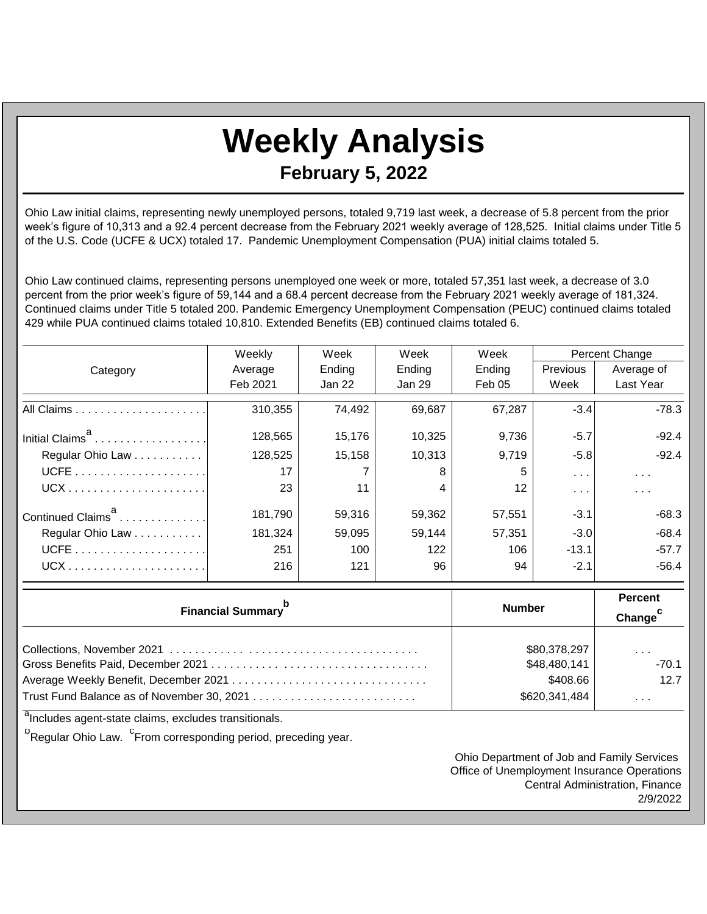## **Weekly Analysis February 5, 2022**

Ohio Law initial claims, representing newly unemployed persons, totaled 9,719 last week, a decrease of 5.8 percent from the prior week's figure of 10,313 and a 92.4 percent decrease from the February 2021 weekly average of 128,525. Initial claims under Title 5 of the U.S. Code (UCFE & UCX) totaled 17. Pandemic Unemployment Compensation (PUA) initial claims totaled 5.

Ohio Law continued claims, representing persons unemployed one week or more, totaled 57,351 last week, a decrease of 3.0 percent from the prior week's figure of 59,144 and a 68.4 percent decrease from the February 2021 weekly average of 181,324. Continued claims under Title 5 totaled 200. Pandemic Emergency Unemployment Compensation (PEUC) continued claims totaled 429 while PUA continued claims totaled 10,810. Extended Benefits (EB) continued claims totaled 6.

|                               | Weekly   | Week   | Week   | Week              | Percent Change       |                      |
|-------------------------------|----------|--------|--------|-------------------|----------------------|----------------------|
| Category                      | Average  | Ending | Ending | Ending            | <b>Previous</b>      | Average of           |
|                               | Feb 2021 | Jan 22 | Jan 29 | Feb 05            | Week                 | Last Year            |
|                               | 310,355  | 74,492 | 69,687 | 67,287            | $-3.4$               | $-78.3$              |
| Initial Claims <sup>a</sup>   | 128,565  | 15,176 | 10,325 | 9,736             | $-5.7$               | $-92.4$              |
| Regular Ohio Law              | 128,525  | 15,158 | 10,313 | 9,719             | $-5.8$               | $-92.4$              |
|                               | 17       |        | 8      | 5                 | $\sim$ $\sim$ $\sim$ | $\sim$ $\sim$ $\sim$ |
|                               | 23       | 11     | 4      | $12 \overline{ }$ | $\cdots$             | $\cdots$             |
| Continued Claims <sup>a</sup> | 181,790  | 59,316 | 59,362 | 57,551            | $-3.1$               | -68.3                |
| Regular Ohio Law              | 181,324  | 59,095 | 59,144 | 57,351            | $-3.0$               | $-68.4$              |
|                               | 251      | 100    | 122    | 106               | $-13.1$              | $-57.7$              |
| $UCX$                         | 216      | 121    | 96     | 94                | $-2.1$               | $-56.4$              |

| <b>Financial Summary</b> <sup>p</sup> | <b>Number</b> | <b>Percent</b><br>Change <sup>c</sup> |  |
|---------------------------------------|---------------|---------------------------------------|--|
|                                       | \$80,378,297  | $\cdots$                              |  |
|                                       | \$48,480,141  | $-70.1$                               |  |
|                                       | \$408.66      | 12.7                                  |  |
|                                       | \$620,341,484 | $\cdots$                              |  |

<sup>a</sup>Includes agent-state claims, excludes transitionals.

<sup>b</sup>Regular Ohio Law. <sup>C</sup>From corresponding period, preceding year.

Ohio Department of Job and Family Services Office of Unemployment Insurance Operations Central Administration, Finance 2/9/2022